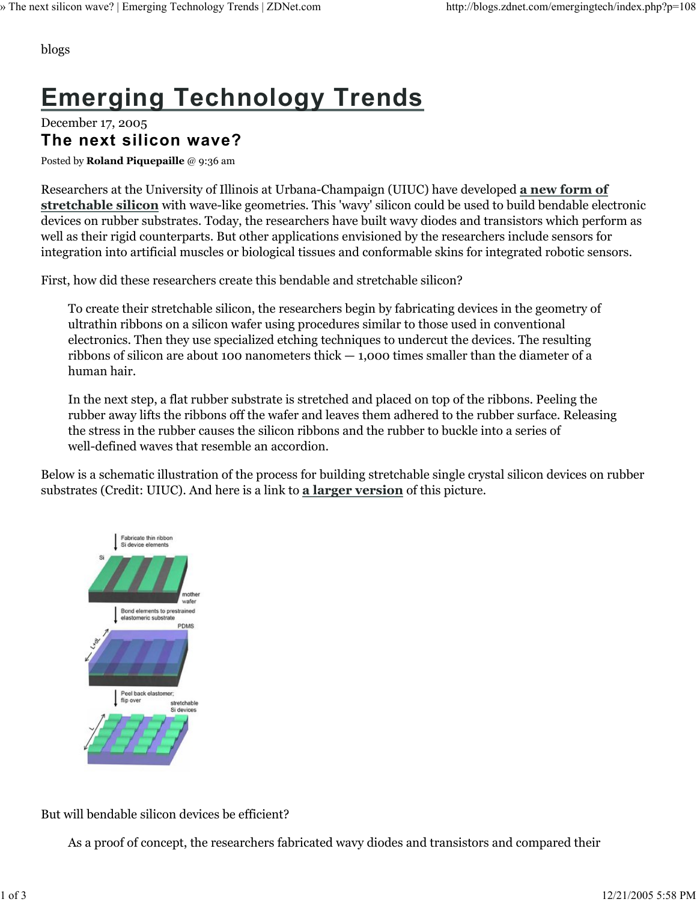blogs

# **Emerging Technology Trends**

December 17, 2005 **The next silicon wave?**

Posted by **Roland Piquepaille** @ 9:36 am

Researchers at the University of Illinois at Urbana-Champaign (UIUC) have developed **a new form of stretchable silicon** with wave-like geometries. This 'wavy' silicon could be used to build bendable electronic devices on rubber substrates. Today, the researchers have built wavy diodes and transistors which perform as well as their rigid counterparts. But other applications envisioned by the researchers include sensors for integration into artificial muscles or biological tissues and conformable skins for integrated robotic sensors.

First, how did these researchers create this bendable and stretchable silicon?

To create their stretchable silicon, the researchers begin by fabricating devices in the geometry of ultrathin ribbons on a silicon wafer using procedures similar to those used in conventional electronics. Then they use specialized etching techniques to undercut the devices. The resulting ribbons of silicon are about 100 nanometers thick  $-$  1,000 times smaller than the diameter of a human hair.

In the next step, a flat rubber substrate is stretched and placed on top of the ribbons. Peeling the rubber away lifts the ribbons off the wafer and leaves them adhered to the rubber surface. Releasing the stress in the rubber causes the silicon ribbons and the rubber to buckle into a series of well-defined waves that resemble an accordion.

Below is a schematic illustration of the process for building stretchable single crystal silicon devices on rubber substrates (Credit: UIUC). And here is a link to **a larger version** of this picture.



But will bendable silicon devices be efficient?

As a proof of concept, the researchers fabricated wavy diodes and transistors and compared their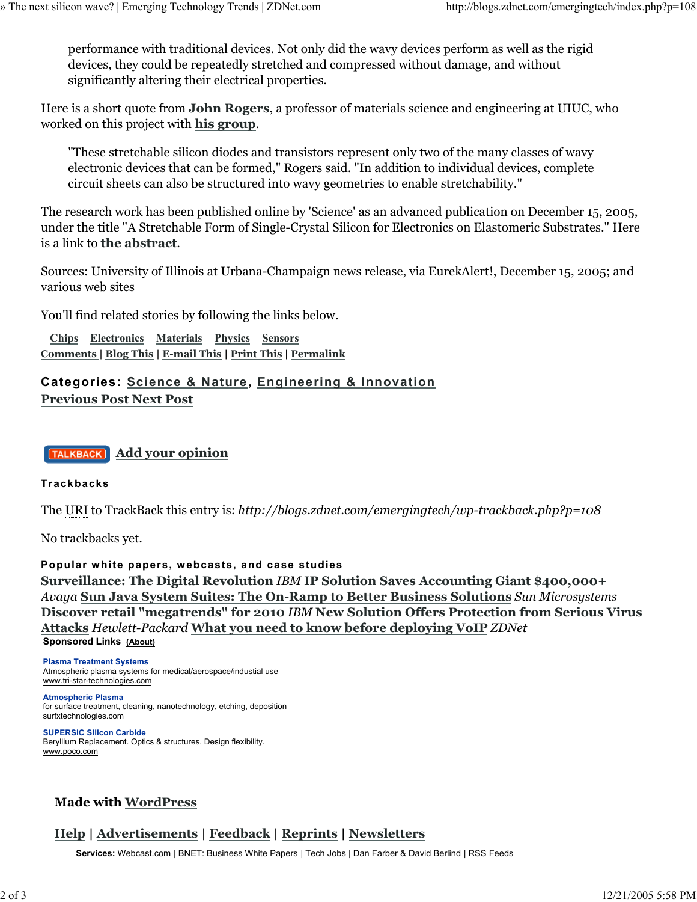performance with traditional devices. Not only did the wavy devices perform as well as the rigid devices, they could be repeatedly stretched and compressed without damage, and without significantly altering their electrical properties.

Here is a short quote from **John Rogers**, a professor of materials science and engineering at UIUC, who worked on this project with **his group**.

"These stretchable silicon diodes and transistors represent only two of the many classes of wavy electronic devices that can be formed," Rogers said. "In addition to individual devices, complete circuit sheets can also be structured into wavy geometries to enable stretchability."

The research work has been published online by 'Science' as an advanced publication on December 15, 2005, under the title "A Stretchable Form of Single-Crystal Silicon for Electronics on Elastomeric Substrates." Here is a link to **the abstract**.

Sources: University of Illinois at Urbana-Champaign news release, via EurekAlert!, December 15, 2005; and various web sites

You'll find related stories by following the links below.

 **Chips Electronics Materials Physics Sensors Comments | Blog This | E-mail This | Print This | Permalink**

## **Categories: Science & Nature, Engineering & Innovation Previous Post Next Post**



### **Trackbacks**

The URI to TrackBack this entry is: *http://blogs.zdnet.com/emergingtech/wp-trackback.php?p=108*

No trackbacks yet.

**Popular white papers, webcasts, and case studies Surveillance: The Digital Revolution** *IBM* **IP Solution Saves Accounting Giant \$400,000+** *Avaya* **Sun Java System Suites: The On-Ramp to Better Business Solutions** *Sun Microsystems* **Discover retail "megatrends" for 2010** *IBM* **New Solution Offers Protection from Serious Virus Attacks** *Hewlett-Packard* **What you need to know before deploying VoIP** *ZDNet* **Sponsored Links (About)**

#### **Plasma Treatment Systems** Atmospheric plasma systems for medical/aerospace/industial use

www.tri-star-technologies.com **Atmospheric Plasma**

for surface treatment, cleaning, nanotechnology, etching, deposition surfxtechnologies.com

**SUPERSiC Silicon Carbide** Beryllium Replacement. Optics & structures. Design flexibility. www.poco.com

## **Made with WordPress**

## **Help | Advertisements | Feedback | Reprints | Newsletters**

**Services:** Webcast.com | BNET: Business White Papers | Tech Jobs | Dan Farber & David Berlind | RSS Feeds